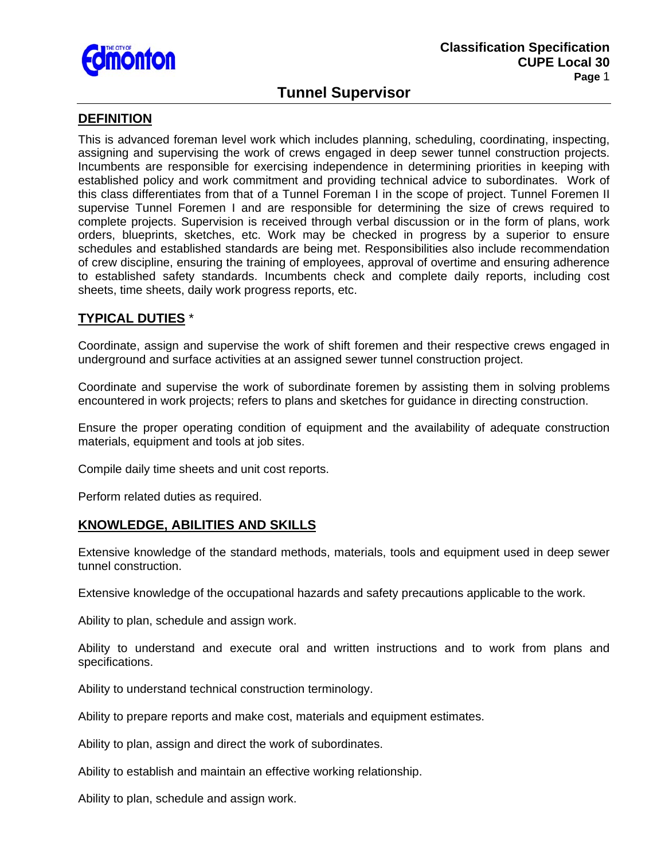

# **Tunnel Supervisor**

### **DEFINITION**

This is advanced foreman level work which includes planning, scheduling, coordinating, inspecting, assigning and supervising the work of crews engaged in deep sewer tunnel construction projects. Incumbents are responsible for exercising independence in determining priorities in keeping with established policy and work commitment and providing technical advice to subordinates. Work of this class differentiates from that of a Tunnel Foreman I in the scope of project. Tunnel Foremen II supervise Tunnel Foremen I and are responsible for determining the size of crews required to complete projects. Supervision is received through verbal discussion or in the form of plans, work orders, blueprints, sketches, etc. Work may be checked in progress by a superior to ensure schedules and established standards are being met. Responsibilities also include recommendation of crew discipline, ensuring the training of employees, approval of overtime and ensuring adherence to established safety standards. Incumbents check and complete daily reports, including cost sheets, time sheets, daily work progress reports, etc.

# **TYPICAL DUTIES** \*

Coordinate, assign and supervise the work of shift foremen and their respective crews engaged in underground and surface activities at an assigned sewer tunnel construction project.

Coordinate and supervise the work of subordinate foremen by assisting them in solving problems encountered in work projects; refers to plans and sketches for guidance in directing construction.

Ensure the proper operating condition of equipment and the availability of adequate construction materials, equipment and tools at job sites.

Compile daily time sheets and unit cost reports.

Perform related duties as required.

# **KNOWLEDGE, ABILITIES AND SKILLS**

Extensive knowledge of the standard methods, materials, tools and equipment used in deep sewer tunnel construction.

Extensive knowledge of the occupational hazards and safety precautions applicable to the work.

Ability to plan, schedule and assign work.

Ability to understand and execute oral and written instructions and to work from plans and specifications.

Ability to understand technical construction terminology.

Ability to prepare reports and make cost, materials and equipment estimates.

Ability to plan, assign and direct the work of subordinates.

Ability to establish and maintain an effective working relationship.

Ability to plan, schedule and assign work.